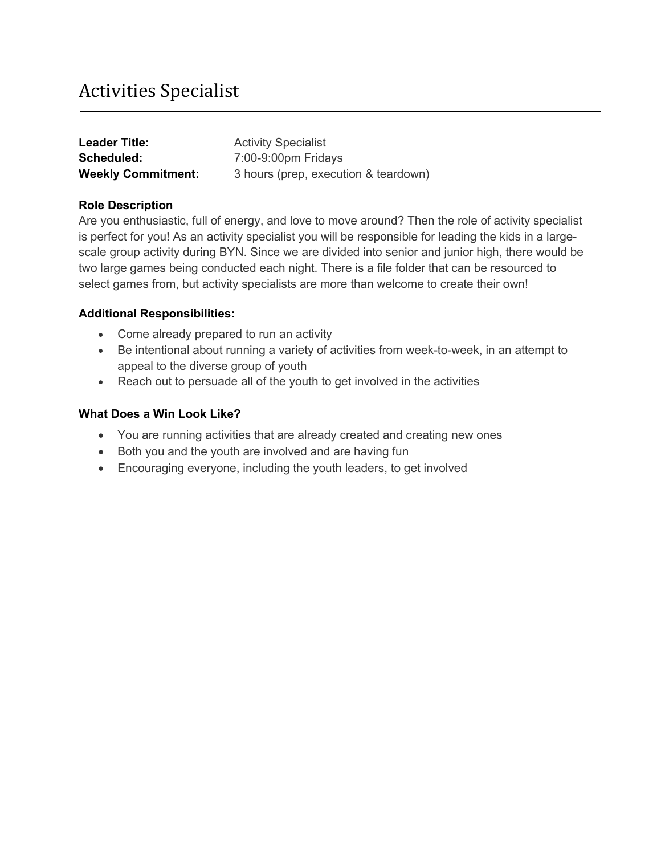# Activities Specialist

| <b>Leader Title:</b>      | <b>Activity Specialist</b>           |
|---------------------------|--------------------------------------|
| Scheduled:                | 7:00-9:00pm Fridays                  |
| <b>Weekly Commitment:</b> | 3 hours (prep, execution & teardown) |

# **Role Description**

Are you enthusiastic, full of energy, and love to move around? Then the role of activity specialist is perfect for you! As an activity specialist you will be responsible for leading the kids in a largescale group activity during BYN. Since we are divided into senior and junior high, there would be two large games being conducted each night. There is a file folder that can be resourced to select games from, but activity specialists are more than welcome to create their own!

# **Additional Responsibilities:**

- Come already prepared to run an activity
- Be intentional about running a variety of activities from week-to-week, in an attempt to appeal to the diverse group of youth
- Reach out to persuade all of the youth to get involved in the activities

- You are running activities that are already created and creating new ones
- Both you and the youth are involved and are having fun
- Encouraging everyone, including the youth leaders, to get involved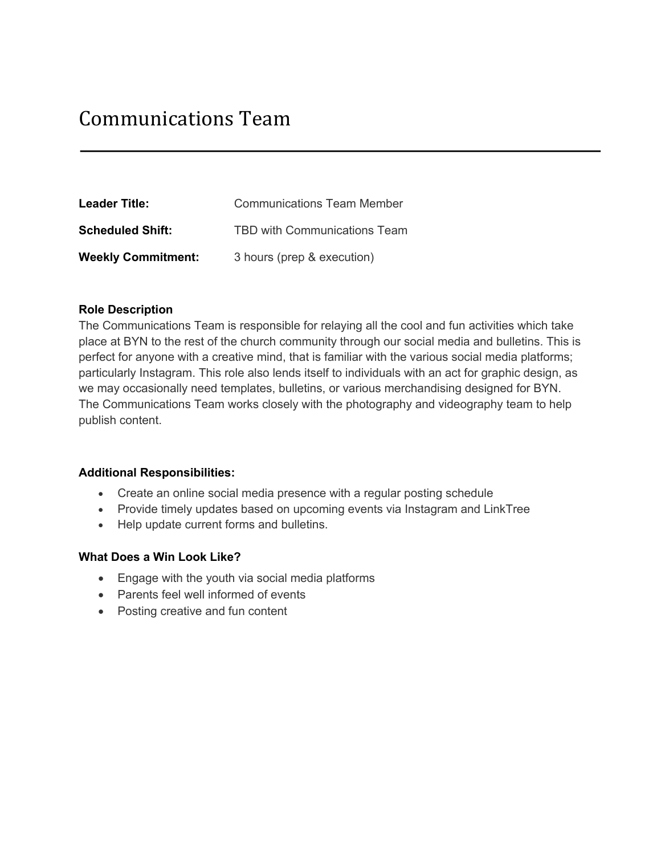| <b>Leader Title:</b>      | <b>Communications Team Member</b> |
|---------------------------|-----------------------------------|
| <b>Scheduled Shift:</b>   | TBD with Communications Team      |
| <b>Weekly Commitment:</b> | 3 hours (prep & execution)        |

## **Role Description**

The Communications Team is responsible for relaying all the cool and fun activities which take place at BYN to the rest of the church community through our social media and bulletins. This is perfect for anyone with a creative mind, that is familiar with the various social media platforms; particularly Instagram. This role also lends itself to individuals with an act for graphic design, as we may occasionally need templates, bulletins, or various merchandising designed for BYN. The Communications Team works closely with the photography and videography team to help publish content.

#### **Additional Responsibilities:**

- Create an online social media presence with a regular posting schedule
- Provide timely updates based on upcoming events via Instagram and LinkTree
- Help update current forms and bulletins.

- Engage with the youth via social media platforms
- Parents feel well informed of events
- Posting creative and fun content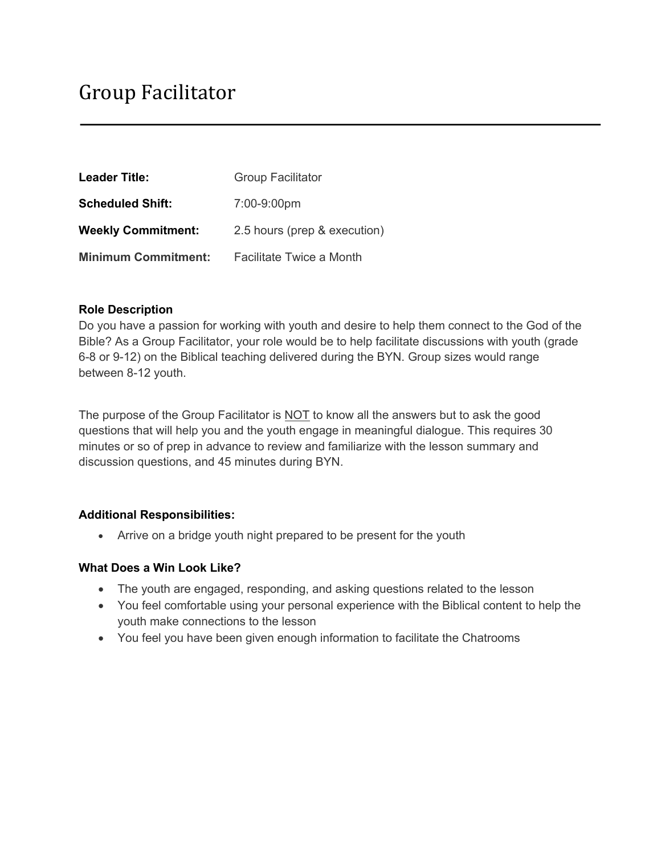| <b>Leader Title:</b>       | <b>Group Facilitator</b>     |
|----------------------------|------------------------------|
| <b>Scheduled Shift:</b>    | 7:00-9:00pm                  |
| <b>Weekly Commitment:</b>  | 2.5 hours (prep & execution) |
| <b>Minimum Commitment:</b> | Facilitate Twice a Month     |

## **Role Description**

Do you have a passion for working with youth and desire to help them connect to the God of the Bible? As a Group Facilitator, your role would be to help facilitate discussions with youth (grade 6-8 or 9-12) on the Biblical teaching delivered during the BYN. Group sizes would range between 8-12 youth.

The purpose of the Group Facilitator is NOT to know all the answers but to ask the good questions that will help you and the youth engage in meaningful dialogue. This requires 30 minutes or so of prep in advance to review and familiarize with the lesson summary and discussion questions, and 45 minutes during BYN.

#### **Additional Responsibilities:**

• Arrive on a bridge youth night prepared to be present for the youth

- The youth are engaged, responding, and asking questions related to the lesson
- You feel comfortable using your personal experience with the Biblical content to help the youth make connections to the lesson
- You feel you have been given enough information to facilitate the Chatrooms